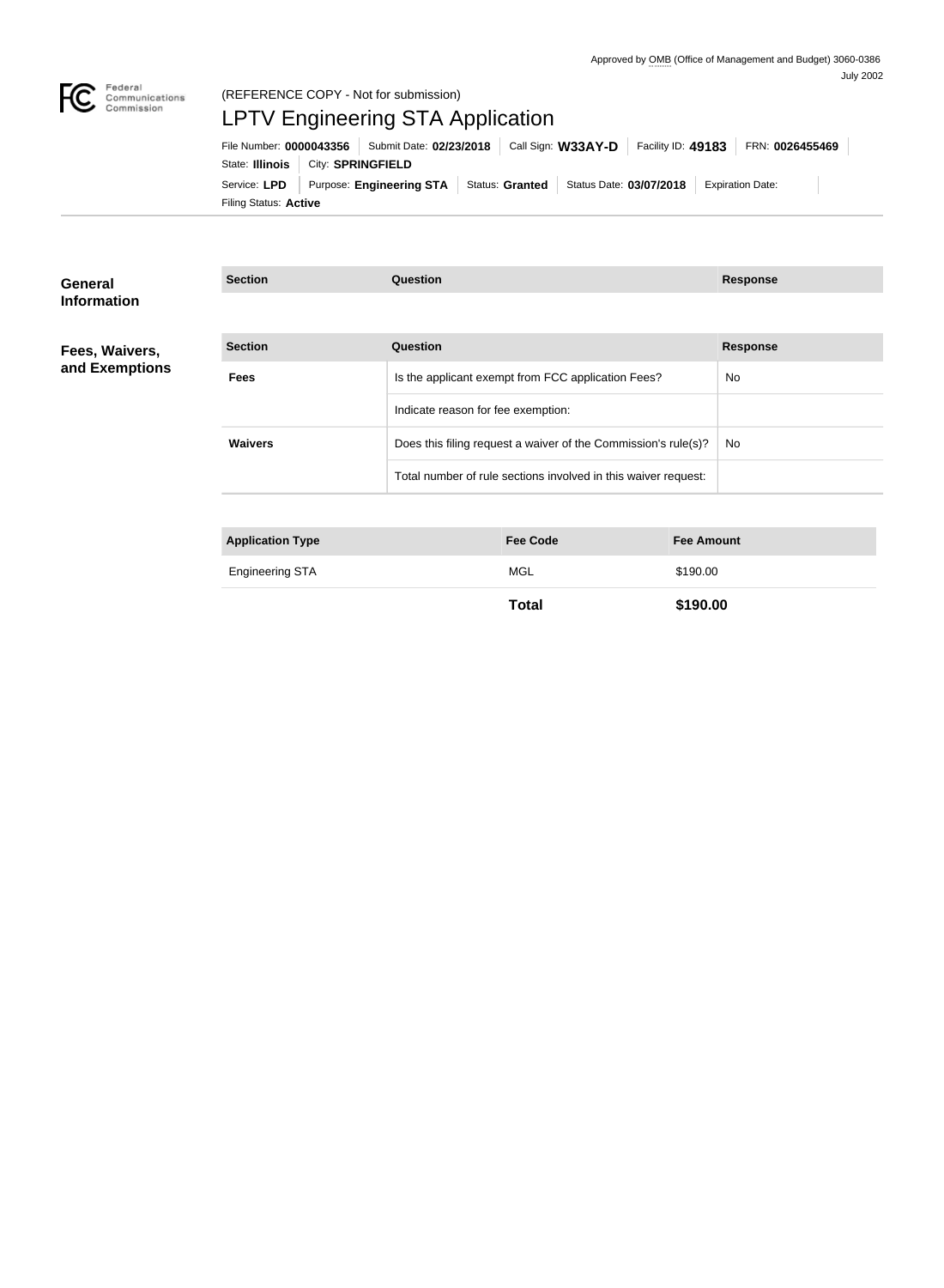

# (REFERENCE COPY - Not for submission) LPTV Engineering STA Application

Filing Status: **Active** Service: LPD Purpose: Engineering STA Status: Granted Status Date: 03/07/2018 Expiration Date: State: **Illinois** | City: **SPRINGFIELD** File Number: **0000043356** Submit Date: **02/23/2018** Call Sign: **W33AY-D** Facility ID: **49183** FRN: **0026455469**

| <b>General</b><br><b>Information</b> | <b>Section</b>          | <b>Question</b>                                                |                   | <b>Response</b> |
|--------------------------------------|-------------------------|----------------------------------------------------------------|-------------------|-----------------|
|                                      |                         |                                                                |                   |                 |
| Fees, Waivers,                       | <b>Section</b>          | <b>Question</b>                                                |                   | <b>Response</b> |
| and Exemptions                       | <b>Fees</b>             | Is the applicant exempt from FCC application Fees?             | No                |                 |
|                                      |                         | Indicate reason for fee exemption:                             |                   |                 |
|                                      | <b>Waivers</b>          | Does this filing request a waiver of the Commission's rule(s)? | <b>No</b>         |                 |
|                                      |                         | Total number of rule sections involved in this waiver request: |                   |                 |
|                                      |                         |                                                                |                   |                 |
|                                      | <b>Application Type</b> | <b>Fee Code</b>                                                | <b>Fee Amount</b> |                 |
|                                      | <b>Engineering STA</b>  | <b>MGL</b>                                                     | \$190.00          |                 |

**Total \$190.00**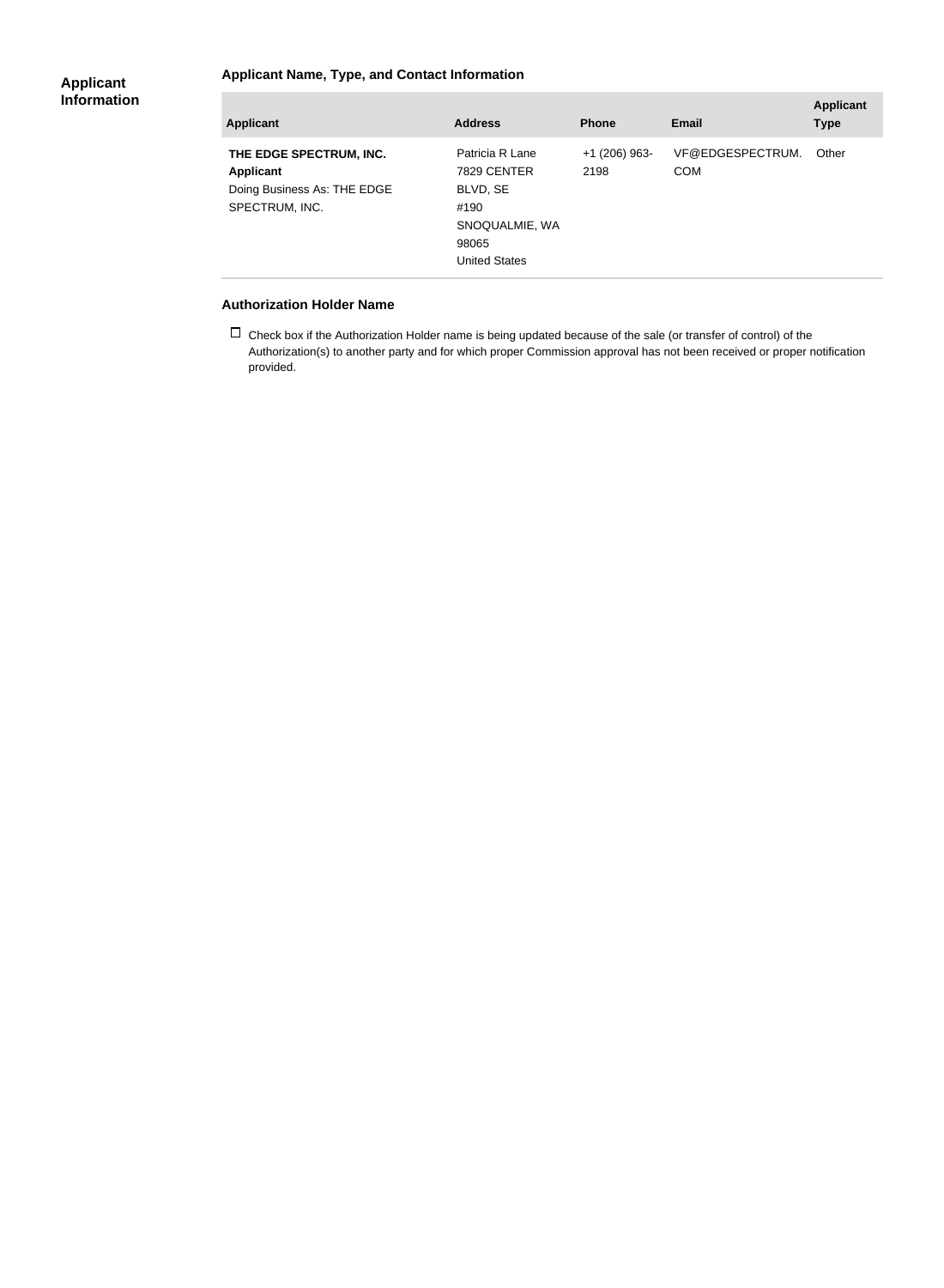#### **Applicant Name, Type, and Contact Information**

| <b>Applicant</b>                                                                             | <b>Address</b>                                                                                        | <b>Phone</b>            | Email                          | <b>Applicant</b><br><b>Type</b> |
|----------------------------------------------------------------------------------------------|-------------------------------------------------------------------------------------------------------|-------------------------|--------------------------------|---------------------------------|
| THE EDGE SPECTRUM, INC.<br><b>Applicant</b><br>Doing Business As: THE EDGE<br>SPECTRUM, INC. | Patricia R Lane<br>7829 CENTER<br>BLVD, SE<br>#190<br>SNOQUALMIE, WA<br>98065<br><b>United States</b> | $+1$ (206) 963-<br>2198 | VF@EDGESPECTRUM.<br><b>COM</b> | Other                           |

#### **Authorization Holder Name**

 $\Box$  Check box if the Authorization Holder name is being updated because of the sale (or transfer of control) of the Authorization(s) to another party and for which proper Commission approval has not been received or proper notification provided.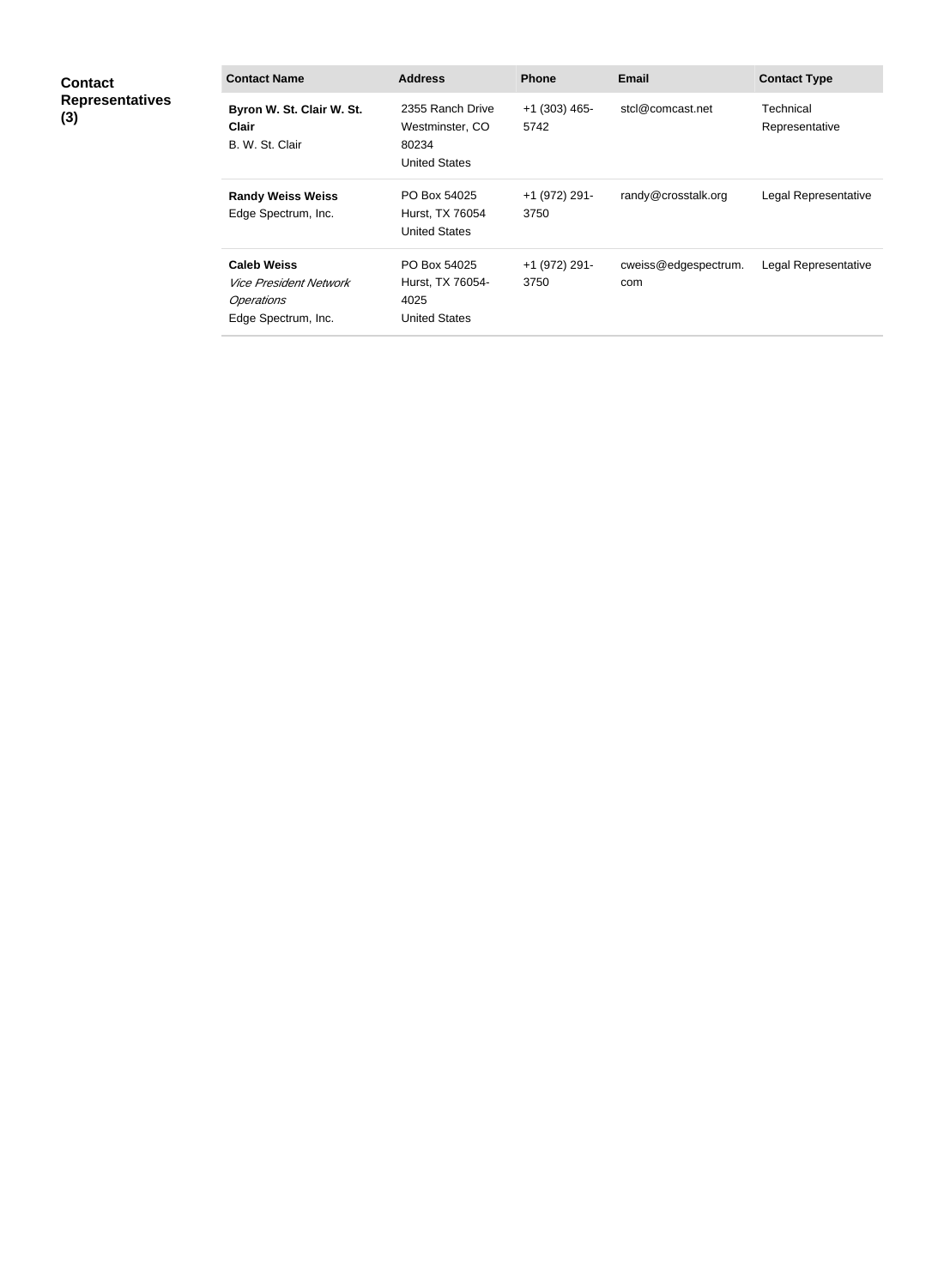| <b>Contact</b><br><b>Representatives</b><br>(3) | <b>Contact Name</b>                                                                                    | <b>Address</b>                                                       | <b>Phone</b>            | <b>Email</b>                | <b>Contact Type</b>         |
|-------------------------------------------------|--------------------------------------------------------------------------------------------------------|----------------------------------------------------------------------|-------------------------|-----------------------------|-----------------------------|
|                                                 | Byron W. St. Clair W. St.<br><b>Clair</b><br>B. W. St. Clair                                           | 2355 Ranch Drive<br>Westminster, CO<br>80234<br><b>United States</b> | $+1$ (303) 465-<br>5742 | stcl@comcast.net            | Technical<br>Representative |
|                                                 | <b>Randy Weiss Weiss</b><br>Edge Spectrum, Inc.                                                        | PO Box 54025<br>Hurst, TX 76054<br><b>United States</b>              | +1 (972) 291-<br>3750   | randy@crosstalk.org         | Legal Representative        |
|                                                 | <b>Caleb Weiss</b><br><i><b>Vice President Network</b></i><br><b>Operations</b><br>Edge Spectrum, Inc. | PO Box 54025<br>Hurst, TX 76054-<br>4025<br><b>United States</b>     | +1 (972) 291-<br>3750   | cweiss@edgespectrum.<br>com | Legal Representative        |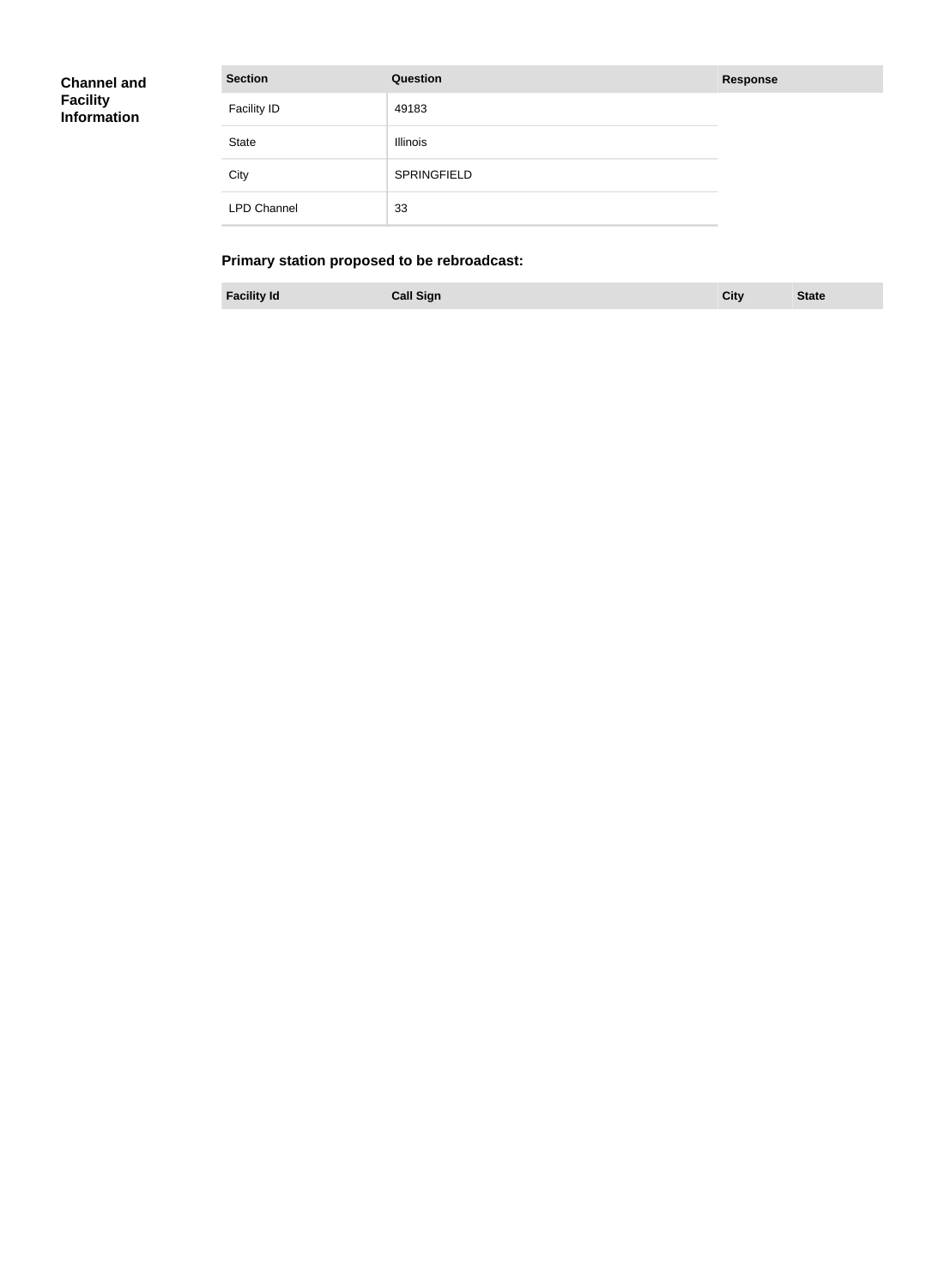| <b>Channel and</b> |  |
|--------------------|--|
| <b>Facility</b>    |  |
| <b>Information</b> |  |

| <b>Section</b>     | Question    | <b>Response</b> |
|--------------------|-------------|-----------------|
| <b>Facility ID</b> | 49183       |                 |
| State              | Illinois    |                 |
| City               | SPRINGFIELD |                 |
| <b>LPD Channel</b> | 33          |                 |

## **Primary station proposed to be rebroadcast:**

**Facility Id Call Sign City State**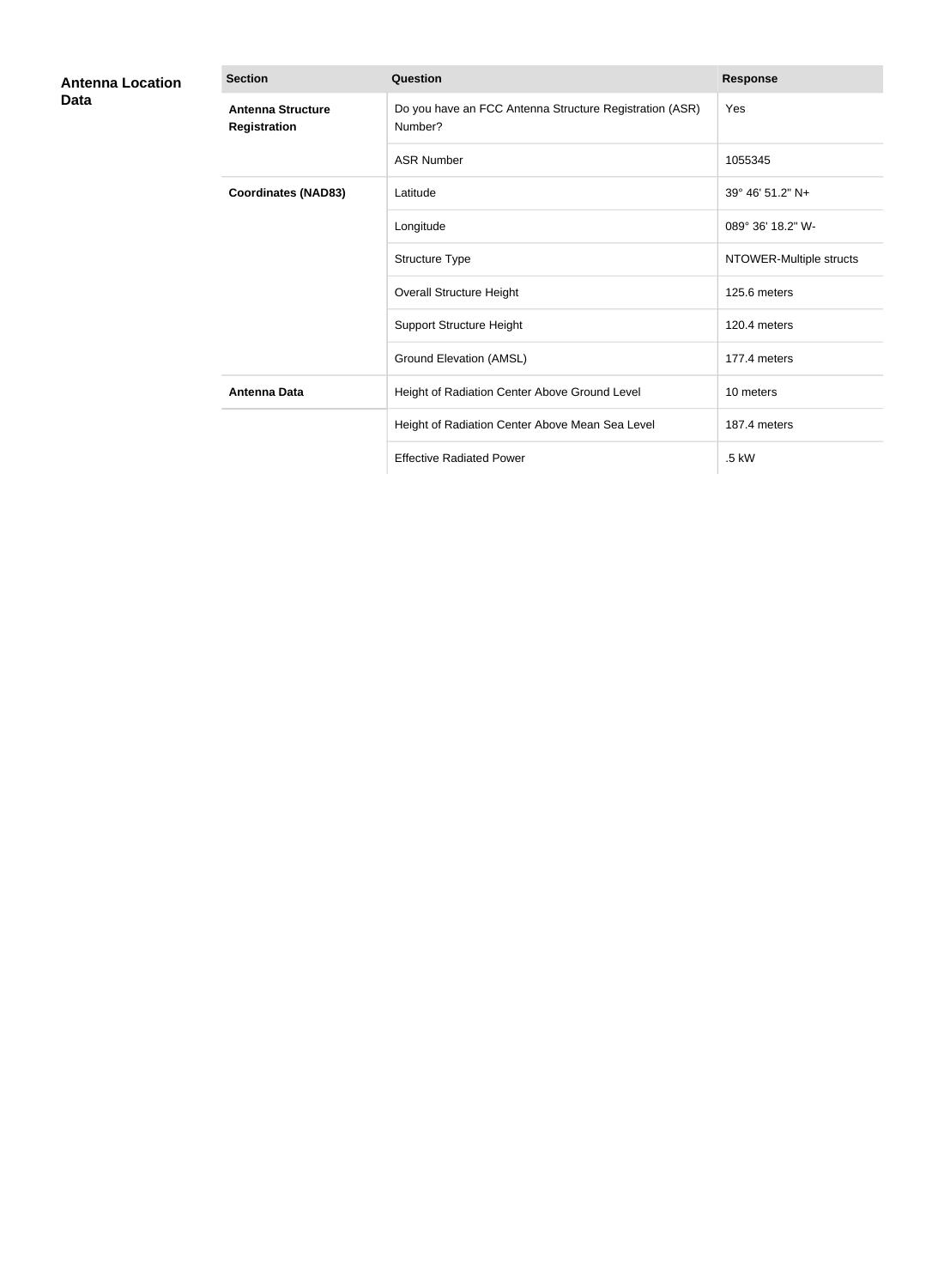| <b>Antenna Location</b><br>Data | <b>Section</b>                                  | <b>Question</b>                                                    | <b>Response</b>         |
|---------------------------------|-------------------------------------------------|--------------------------------------------------------------------|-------------------------|
|                                 | <b>Antenna Structure</b><br><b>Registration</b> | Do you have an FCC Antenna Structure Registration (ASR)<br>Number? | Yes                     |
|                                 |                                                 | <b>ASR Number</b>                                                  | 1055345                 |
|                                 | <b>Coordinates (NAD83)</b>                      | Latitude                                                           | 39° 46′ 51.2″ N+        |
|                                 |                                                 | Longitude                                                          | 089° 36' 18.2" W-       |
|                                 |                                                 | Structure Type                                                     | NTOWER-Multiple structs |
|                                 |                                                 | <b>Overall Structure Height</b>                                    | 125.6 meters            |
|                                 |                                                 | <b>Support Structure Height</b>                                    | 120.4 meters            |
|                                 |                                                 | Ground Elevation (AMSL)                                            | 177.4 meters            |
|                                 | <b>Antenna Data</b>                             | Height of Radiation Center Above Ground Level                      | 10 meters               |
|                                 |                                                 | Height of Radiation Center Above Mean Sea Level                    | 187.4 meters            |
|                                 |                                                 | <b>Effective Radiated Power</b>                                    | .5 kW                   |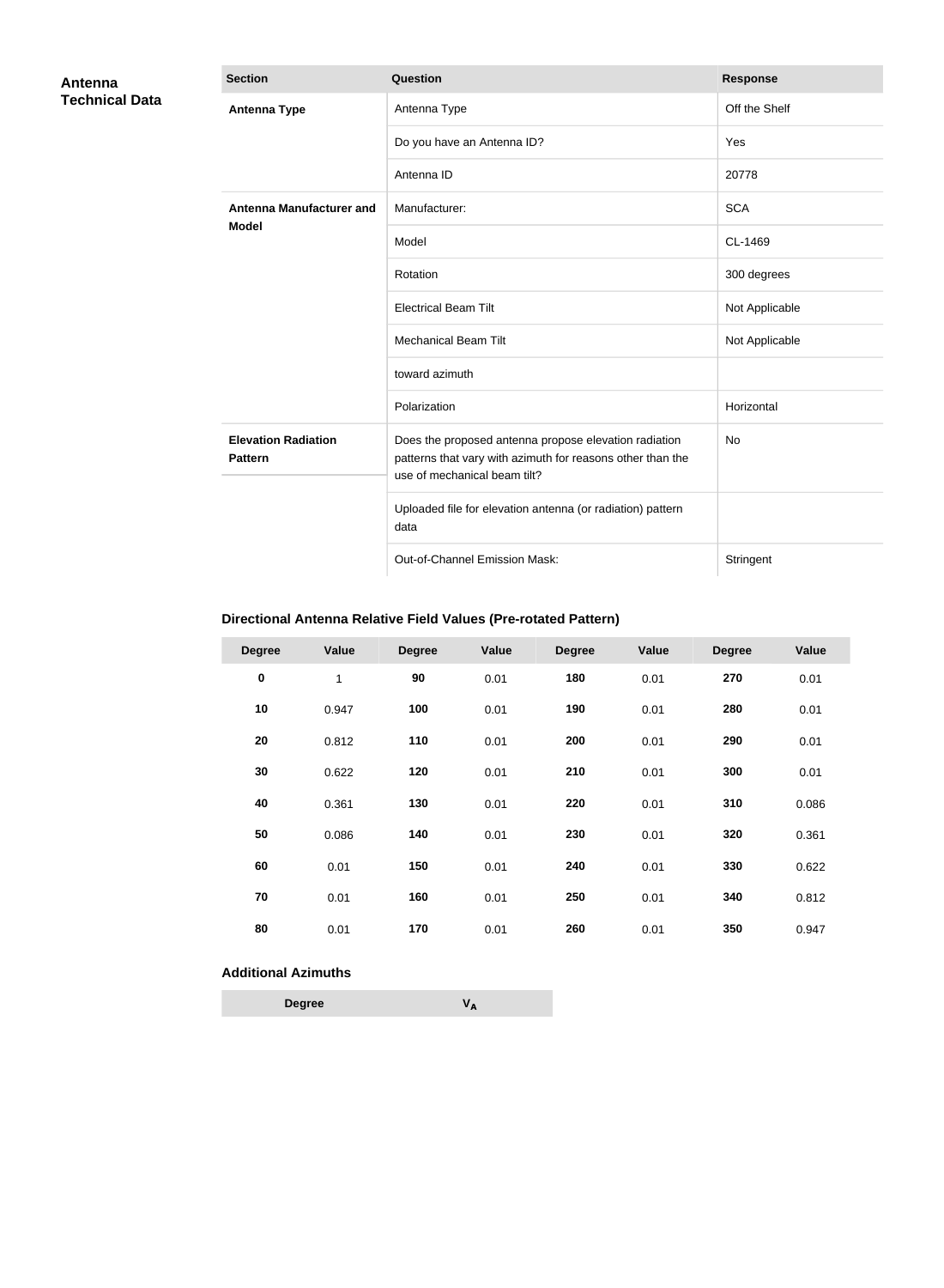| Antenna<br><b>Technical Data</b> | <b>Section</b>                               | Question                                                                                                                                            | <b>Response</b> |
|----------------------------------|----------------------------------------------|-----------------------------------------------------------------------------------------------------------------------------------------------------|-----------------|
|                                  | <b>Antenna Type</b>                          | Antenna Type                                                                                                                                        | Off the Shelf   |
|                                  |                                              | Do you have an Antenna ID?                                                                                                                          | Yes             |
|                                  |                                              | Antenna ID                                                                                                                                          | 20778           |
|                                  | <b>Antenna Manufacturer and</b>              | Manufacturer:                                                                                                                                       | <b>SCA</b>      |
|                                  | <b>Model</b>                                 | Model                                                                                                                                               | CL-1469         |
|                                  |                                              | Rotation                                                                                                                                            | 300 degrees     |
|                                  |                                              | <b>Electrical Beam Tilt</b>                                                                                                                         | Not Applicable  |
|                                  |                                              | <b>Mechanical Beam Tilt</b>                                                                                                                         | Not Applicable  |
|                                  |                                              | toward azimuth                                                                                                                                      |                 |
|                                  |                                              | Polarization                                                                                                                                        | Horizontal      |
|                                  | <b>Elevation Radiation</b><br><b>Pattern</b> | Does the proposed antenna propose elevation radiation<br>patterns that vary with azimuth for reasons other than the<br>use of mechanical beam tilt? | No              |
|                                  |                                              | Uploaded file for elevation antenna (or radiation) pattern<br>data                                                                                  |                 |
|                                  |                                              | Out-of-Channel Emission Mask:                                                                                                                       | Stringent       |

## **Directional Antenna Relative Field Values (Pre-rotated Pattern)**

| <b>Degree</b> | Value | <b>Degree</b> | Value | <b>Degree</b> | Value | <b>Degree</b> | <b>Value</b> |
|---------------|-------|---------------|-------|---------------|-------|---------------|--------------|
| $\pmb{0}$     | 1     | 90            | 0.01  | 180           | 0.01  | 270           | 0.01         |
| 10            | 0.947 | 100           | 0.01  | 190           | 0.01  | 280           | 0.01         |
| 20            | 0.812 | 110           | 0.01  | 200           | 0.01  | 290           | 0.01         |
| 30            | 0.622 | 120           | 0.01  | 210           | 0.01  | 300           | 0.01         |
| 40            | 0.361 | 130           | 0.01  | 220           | 0.01  | 310           | 0.086        |
| 50            | 0.086 | 140           | 0.01  | 230           | 0.01  | 320           | 0.361        |
| 60            | 0.01  | 150           | 0.01  | 240           | 0.01  | 330           | 0.622        |
| 70            | 0.01  | 160           | 0.01  | 250           | 0.01  | 340           | 0.812        |
| 80            | 0.01  | 170           | 0.01  | 260           | 0.01  | 350           | 0.947        |

### **Additional Azimuths**

| <b>Degree</b> | VΔ |
|---------------|----|
|---------------|----|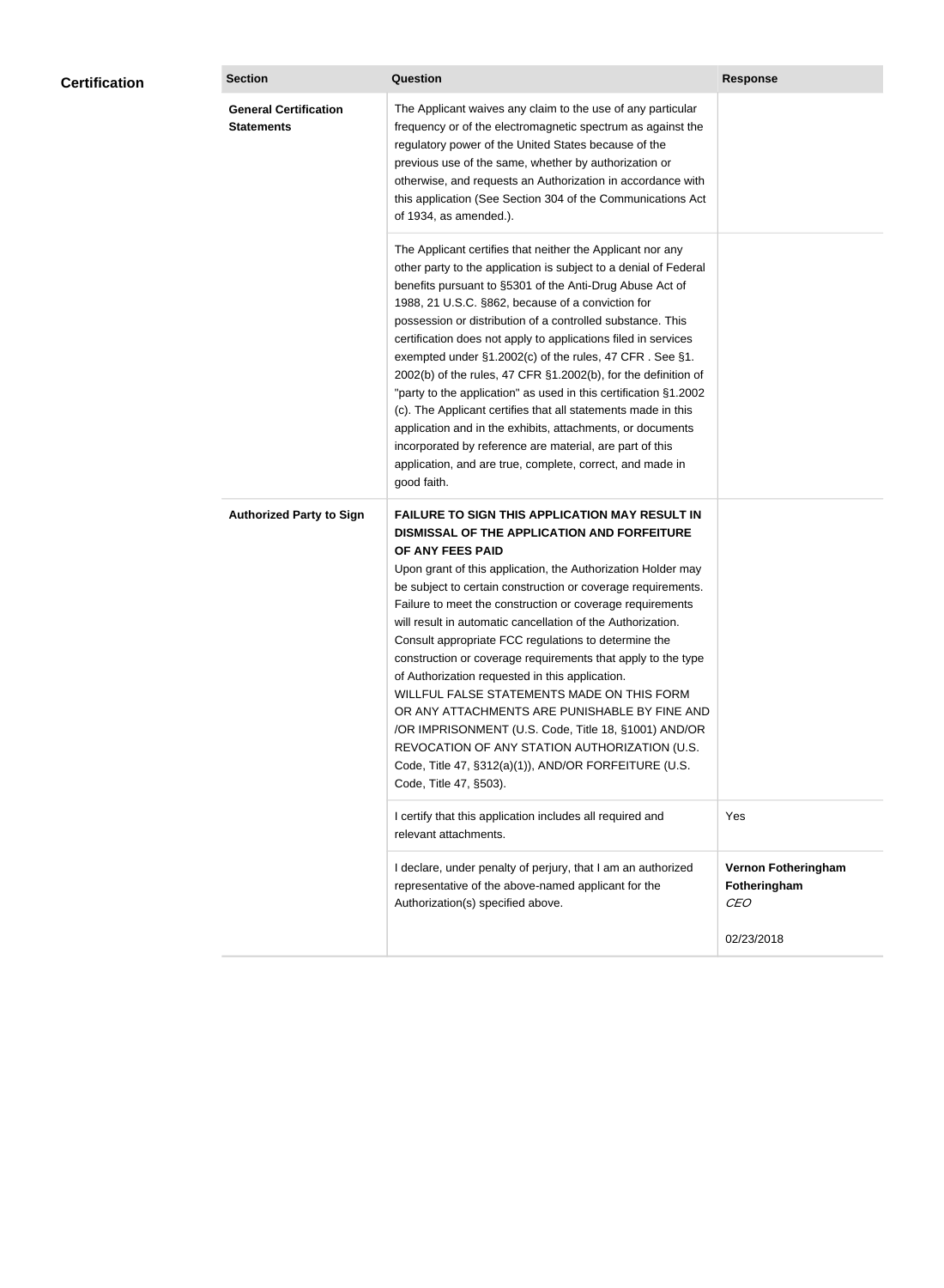| <b>Certification</b> | <b>Section</b>                                    | Question                                                                                                                                                                                                                                                                                                                                                                                                                                                                                                                                                                                                                                                                                                                                                                                                                                                  | <b>Response</b>                                   |
|----------------------|---------------------------------------------------|-----------------------------------------------------------------------------------------------------------------------------------------------------------------------------------------------------------------------------------------------------------------------------------------------------------------------------------------------------------------------------------------------------------------------------------------------------------------------------------------------------------------------------------------------------------------------------------------------------------------------------------------------------------------------------------------------------------------------------------------------------------------------------------------------------------------------------------------------------------|---------------------------------------------------|
|                      | <b>General Certification</b><br><b>Statements</b> | The Applicant waives any claim to the use of any particular<br>frequency or of the electromagnetic spectrum as against the<br>regulatory power of the United States because of the<br>previous use of the same, whether by authorization or<br>otherwise, and requests an Authorization in accordance with<br>this application (See Section 304 of the Communications Act<br>of 1934, as amended.).                                                                                                                                                                                                                                                                                                                                                                                                                                                       |                                                   |
|                      |                                                   | The Applicant certifies that neither the Applicant nor any<br>other party to the application is subject to a denial of Federal<br>benefits pursuant to §5301 of the Anti-Drug Abuse Act of<br>1988, 21 U.S.C. §862, because of a conviction for<br>possession or distribution of a controlled substance. This<br>certification does not apply to applications filed in services<br>exempted under §1.2002(c) of the rules, 47 CFR. See §1.<br>2002(b) of the rules, 47 CFR §1.2002(b), for the definition of<br>"party to the application" as used in this certification §1.2002<br>(c). The Applicant certifies that all statements made in this<br>application and in the exhibits, attachments, or documents<br>incorporated by reference are material, are part of this<br>application, and are true, complete, correct, and made in<br>good faith.   |                                                   |
|                      | <b>Authorized Party to Sign</b>                   | <b>FAILURE TO SIGN THIS APPLICATION MAY RESULT IN</b><br>DISMISSAL OF THE APPLICATION AND FORFEITURE<br>OF ANY FEES PAID<br>Upon grant of this application, the Authorization Holder may<br>be subject to certain construction or coverage requirements.<br>Failure to meet the construction or coverage requirements<br>will result in automatic cancellation of the Authorization.<br>Consult appropriate FCC regulations to determine the<br>construction or coverage requirements that apply to the type<br>of Authorization requested in this application.<br>WILLFUL FALSE STATEMENTS MADE ON THIS FORM<br>OR ANY ATTACHMENTS ARE PUNISHABLE BY FINE AND<br>/OR IMPRISONMENT (U.S. Code, Title 18, §1001) AND/OR<br>REVOCATION OF ANY STATION AUTHORIZATION (U.S.<br>Code, Title 47, §312(a)(1)), AND/OR FORFEITURE (U.S.<br>Code, Title 47, §503). |                                                   |
|                      |                                                   | I certify that this application includes all required and<br>relevant attachments.                                                                                                                                                                                                                                                                                                                                                                                                                                                                                                                                                                                                                                                                                                                                                                        | Yes                                               |
|                      |                                                   | I declare, under penalty of perjury, that I am an authorized<br>representative of the above-named applicant for the<br>Authorization(s) specified above.                                                                                                                                                                                                                                                                                                                                                                                                                                                                                                                                                                                                                                                                                                  | Vernon Fotheringham<br>Fotheringham<br><b>CEO</b> |
|                      |                                                   |                                                                                                                                                                                                                                                                                                                                                                                                                                                                                                                                                                                                                                                                                                                                                                                                                                                           | 02/23/2018                                        |